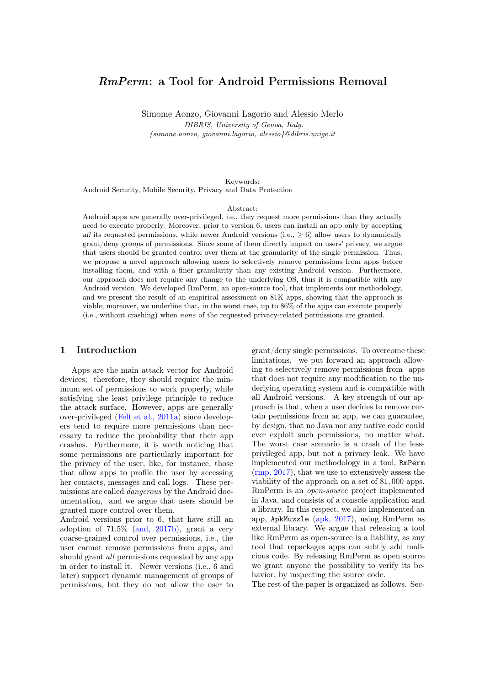# RmPerm: a Tool for Android Permissions Removal

Simome Aonzo, Giovanni Lagorio and Alessio Merlo DIBRIS, University of Genoa, Italy. {simone.aonzo, giovanni.lagorio, alessio}@dibris.unige.it

#### Keywords:

Android Security, Mobile Security, Privacy and Data Protection

#### Abstract:

Android apps are generally over-privileged, i.e., they request more permissions than they actually need to execute properly. Moreover, prior to version 6, users can install an app only by accepting all its requested permissions, while newer Android versions (i.e.,  $\geq 6$ ) allow users to dynamically grant/deny groups of permissions. Since some of them directly impact on users' privacy, we argue that users should be granted control over them at the granularity of the single permission. Thus, we propose a novel approach allowing users to selectively remove permissions from apps before installing them, and with a finer granularity than any existing Android version. Furthermore, our approach does not require any change to the underlying OS, thus it is compatible with any Android version. We developed RmPerm, an open-source tool, that implements our methodology, and we present the result of an empirical assessment on 81K apps, showing that the approach is viable; moreover, we underline that, in the worst case, up to 86% of the apps can execute properly (i.e., without crashing) when none of the requested privacy-related permissions are granted.

#### 1 Introduction

Apps are the main attack vector for Android devices; therefore, they should require the minimum set of permissions to work properly, while satisfying the least privilege principle to reduce the attack surface. However, apps are generally over-privileged [\(Felt et al., 2011a\)](#page-7-0) since developers tend to require more permissions than necessary to reduce the probability that their app crashes. Furthermore, it is worth noticing that some permissions are particularly important for the privacy of the user, like, for instance, those that allow apps to profile the user by accessing her contacts, messages and call logs. These permissions are called dangerous by the Android documentation, and we argue that users should be granted more control over them.

Android versions prior to 6, that have still an adoption of 71.5% [\(and, 2017b\)](#page-7-1), grant a very coarse-grained control over permissions, i.e., the user cannot remove permissions from apps, and should grant *all* permissions requested by any app in order to install it. Newer versions (i.e., 6 and later) support dynamic management of groups of permissions, but they do not allow the user to

grant/deny single permissions. To overcome these limitations, we put forward an approach allowing to selectively remove permissions from apps that does not require any modification to the underlying operating system and is compatible with all Android versions. A key strength of our approach is that, when a user decides to remove certain permissions from an app, we can guarantee, by design, that no Java nor any native code could ever exploit such permissions, no matter what. The worst case scenario is a crash of the lessprivileged app, but not a privacy leak. We have implemented our methodology in a tool, RmPerm [\(rmp, 2017\)](#page-7-2), that we use to extensively assess the viability of the approach on a set of 81, 000 apps. RmPerm is an open-source project implemented in Java, and consists of a console application and a library. In this respect, we also implemented an app, ApkMuzzle [\(apk, 2017\)](#page-7-3), using RmPerm as external library. We argue that releasing a tool like RmPerm as open-source is a liability, as any tool that repackages apps can subtly add malicious code. By releasing RmPerm as open source we grant anyone the possibility to verify its behavior, by inspecting the source code.

The rest of the paper is organized as follows. Sec-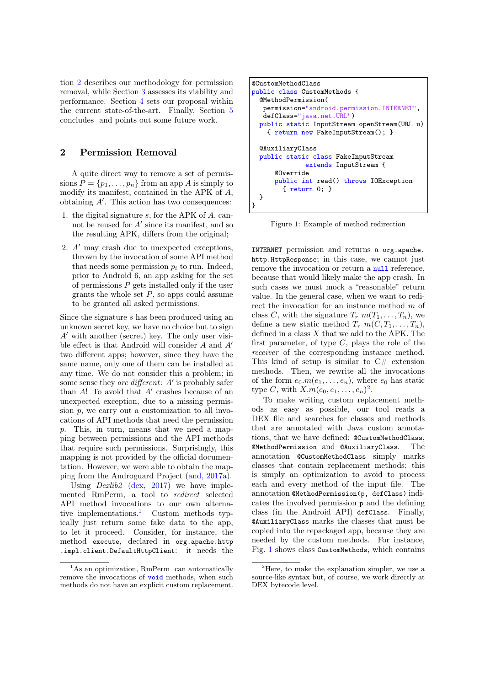tion [2](#page-1-0) describes our methodology for permission removal, while Section [3](#page-2-0) assesses its viability and performance. Section [4](#page-5-0) sets our proposal within the current state-of-the-art. Finally, Section [5](#page-6-0) concludes and points out some future work.

### <span id="page-1-0"></span>2 Permission Removal

A quite direct way to remove a set of permissions  $P = \{p_1, \ldots, p_n\}$  from an app A is simply to modify its manifest, contained in the APK of A, obtaining  $A'$ . This action has two consequences:

- 1. the digital signature s, for the APK of A, cannot be reused for  $A'$  since its manifest, and so the resulting APK, differs from the original;
- 2.  $A'$  may crash due to unexpected exceptions, thrown by the invocation of some API method that needs some permission  $p_i$  to run. Indeed, prior to Android 6, an app asking for the set of permissions  $P$  gets installed only if the user grants the whole set  $P$ , so apps could assume to be granted all asked permissions.

Since the signature s has been produced using an unknown secret key, we have no choice but to sign  $A'$  with another (secret) key. The only user visible effect is that Android will consider  $A$  and  $A'$ two different apps; however, since they have the same name, only one of them can be installed at any time. We do not consider this a problem; in some sense they *are different*:  $A'$  is probably safer than  $A!$  To avoid that  $A'$  crashes because of an unexpected exception, due to a missing permission  $p$ , we carry out a customization to all invocations of API methods that need the permission p. This, in turn, means that we need a mapping between permissions and the API methods that require such permissions. Surprisingly, this mapping is not provided by the official documentation. However, we were able to obtain the mapping from the Androguard Project [\(and, 2017a\)](#page-7-4).

Using *Dexlib2* [\(dex, 2017\)](#page-7-5) we have implemented RmPerm, a tool to redirect selected API method invocations to our own alternative implementations.[1](#page-1-1) Custom methods typically just return some fake data to the app, to let it proceed. Consider, for instance, the method execute, declared in org.apache.http .impl.client.DefaultHttpClient: it needs the

```
@CustomMethodClass
public class CustomMethods {
  @MethodPermission(
   permission="android.permission.INTERNET",
   defClass="java.net.URL")
 public static InputStream openStream(URL u)
    { return new FakeInputStream(); }
  @AuxiliaryClass
 public static class FakeInputStream
              extends InputStream {
      @Override
      public int read() throws IOException
        { return 0; }
 }
}
```
Figure 1: Example of method redirection

INTERNET permission and returns a org.apache. http.HttpResponse; in this case, we cannot just remove the invocation or return a null reference, because that would likely make the app crash. In such cases we must mock a "reasonable" return value. In the general case, when we want to redirect the invocation for an instance method m of class C, with the signature  $T_r$   $m(T_1, \ldots, T_n)$ , we define a new static method  $T_r$   $m(C, T_1, \ldots, T_n)$ , defined in a class  $X$  that we add to the APK. The first parameter, of type  $C$ , plays the role of the receiver of the corresponding instance method. This kind of setup is similar to  $C#$  extension methods. Then, we rewrite all the invocations of the form  $e_0.m(e_1, \ldots, e_n)$ , where  $e_0$  has static type C, with  $X.m(e_0, e_1, \ldots, e_n)^2$  $X.m(e_0, e_1, \ldots, e_n)^2$ .

To make writing custom replacement methods as easy as possible, our tool reads a DEX file and searches for classes and methods that are annotated with Java custom annotations, that we have defined: @CustomMethodClass, @MethodPermission and @AuxiliaryClass. The annotation @CustomMethodClass simply marks classes that contain replacement methods; this is simply an optimization to avoid to process each and every method of the input file. The annotation @MethodPermission(p, defClass) indicates the involved permission p and the defining class (in the Android API) defClass. Finally, @AuxiliaryClass marks the classes that must be copied into the repackaged app, because they are needed by the custom methods. For instance, Fig. [1](#page-1-3) shows class CustomMethods, which contains

<span id="page-1-1"></span><sup>&</sup>lt;sup>1</sup>As an optimization, RmPerm can automatically remove the invocations of void methods, when such methods do not have an explicit custom replacement.

<span id="page-1-2"></span><sup>&</sup>lt;sup>2</sup>Here, to make the explanation simpler, we use a source-like syntax but, of course, we work directly at DEX bytecode level.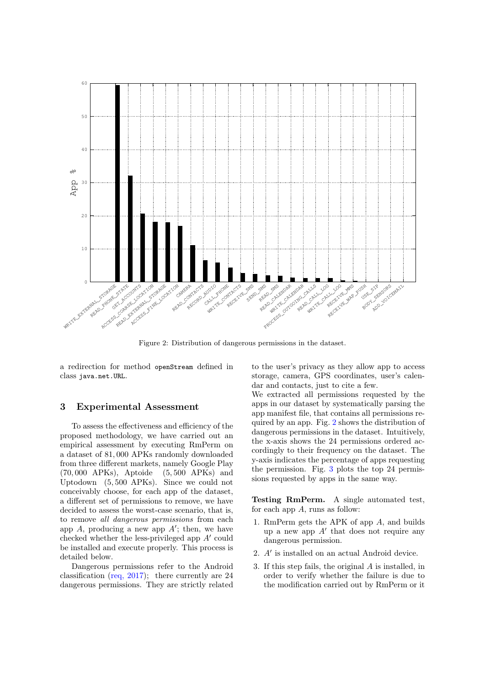<span id="page-2-1"></span>

Figure 2: Distribution of dangerous permissions in the dataset.

a redirection for method openStream defined in class java.net.URL.

### <span id="page-2-0"></span>3 Experimental Assessment

To assess the effectiveness and efficiency of the proposed methodology, we have carried out an empirical assessment by executing RmPerm on a dataset of 81, 000 APKs randomly downloaded from three different markets, namely Google Play (70, 000 APKs), Aptoide (5, 500 APKs) and Uptodown (5, 500 APKs). Since we could not conceivably choose, for each app of the dataset, a different set of permissions to remove, we have decided to assess the worst-case scenario, that is, to remove all dangerous permissions from each app  $A$ , producing a new app  $A'$ ; then, we have checked whether the less-privileged app  $A'$  could be installed and execute properly. This process is detailed below.

Dangerous permissions refer to the Android classification [\(req, 2017\)](#page-7-6); there currently are 24 dangerous permissions. They are strictly related to the user's privacy as they allow app to access storage, camera, GPS coordinates, user's calendar and contacts, just to cite a few.

We extracted all permissions requested by the apps in our dataset by systematically parsing the app manifest file, that contains all permissions required by an app. Fig. [2](#page-2-1) shows the distribution of dangerous permissions in the dataset. Intuitively, the x-axis shows the 24 permissions ordered accordingly to their frequency on the dataset. The y-axis indicates the percentage of apps requesting the permission. Fig. [3](#page-3-0) plots the top 24 permissions requested by apps in the same way.

Testing RmPerm. A single automated test, for each app  $A$ , runs as follow:

- 1. RmPerm gets the APK of app A, and builds up a new app  $A'$  that does not require any dangerous permission.
- <span id="page-2-2"></span>2.  $A'$  is installed on an actual Android device.
- <span id="page-2-3"></span>3. If this step fails, the original A is installed, in order to verify whether the failure is due to the modification carried out by RmPerm or it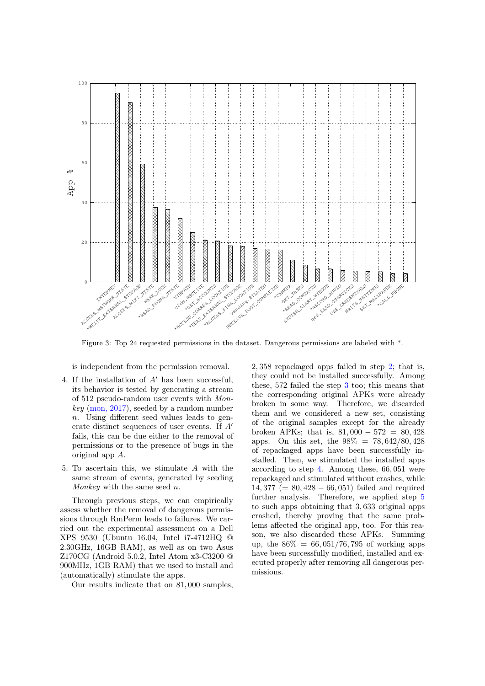<span id="page-3-0"></span>

Figure 3: Top 24 requested permissions in the dataset. Dangerous permissions are labeled with \*.

is independent from the permission removal.

- <span id="page-3-1"></span>4. If the installation of  $A'$  has been successful, its behavior is tested by generating a stream of 512 pseudo-random user events with Mon $key \pmod{2017}$ , seeded by a random number n. Using different seed values leads to generate distinct sequences of user events. If  $A'$ fails, this can be due either to the removal of permissions or to the presence of bugs in the original app A.
- <span id="page-3-2"></span>5. To ascertain this, we stimulate A with the same stream of events, generated by seeding Monkey with the same seed n.

Through previous steps, we can empirically assess whether the removal of dangerous permissions through RmPerm leads to failures. We carried out the experimental assessment on a Dell XPS 9530 (Ubuntu 16.04, Intel i7-4712HQ @ 2.30GHz, 16GB RAM), as well as on two Asus Z170CG (Android 5.0.2, Intel Atom x3-C3200 @ 900MHz, 1GB RAM) that we used to install and (automatically) stimulate the apps.

Our results indicate that on 81, 000 samples,

2, 358 repackaged apps failed in step [2;](#page-2-2) that is, they could not be installed successfully. Among these, 572 failed the step [3](#page-2-3) too; this means that the corresponding original APKs were already broken in some way. Therefore, we discarded them and we considered a new set, consisting of the original samples except for the already broken APKs; that is,  $81,000 - 572 = 80,428$ apps. On this set, the 98% = 78, 642/80, 428 of repackaged apps have been successfully installed. Then, we stimulated the installed apps according to step [4.](#page-3-1) Among these, 66, 051 were repackaged and stimulated without crashes, while  $14,377 (= 80,428 - 66,051)$  failed and required further analysis. Therefore, we applied step [5](#page-3-2) to such apps obtaining that 3, 633 original apps crashed, thereby proving that the same problems affected the original app, too. For this reason, we also discarded these APKs. Summing up, the  $86\% = 66,051/76,795$  of working apps have been successfully modified, installed and executed properly after removing all dangerous permissions.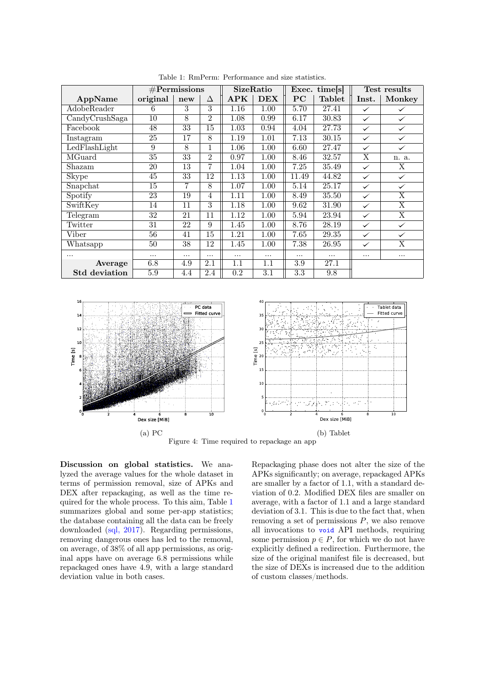<span id="page-4-0"></span>

|                                    | #Permissions |          |                | SizeRatio   |      | Exec. times |               | Test results |              |
|------------------------------------|--------------|----------|----------------|-------------|------|-------------|---------------|--------------|--------------|
| AppName                            | original     | new      | Δ              | ${\rm APK}$ | DEX  | $_{\rm PC}$ | <b>Tablet</b> | Inst.        | Monkey       |
| AdobeReader                        | 6            | 3        | 3              | 1.16        | 1.00 | 5.70        | 27.41         | ✓            | ✓            |
| $\overline{\text{CandyCrushSaga}}$ | 10           | 8        | $\overline{2}$ | 1.08        | 0.99 | 6.17        | 30.83         | $\checkmark$ | $\checkmark$ |
| Facebook                           | 48           | 33       | 15             | 1.03        | 0.94 | 4.04        | 27.73         | ✓            | $\checkmark$ |
| Instagram                          | 25           | 17       | 8              | 1.19        | 1.01 | 7.13        | 30.15         |              | $\checkmark$ |
| LedFlashLight                      | 9            | 8        | 1              | 1.06        | 1.00 | 6.60        | 27.47         |              | $\checkmark$ |
| $\overline{\text{MG}}$ uard        | 35           | 33       | $\overline{2}$ | 0.97        | 1.00 | 8.46        | 32.57         | X            | n. a.        |
| Shazam                             | 20           | 13       | 7              | 1.04        | 1.00 | 7.25        | 35.49         | $\checkmark$ | X            |
| <b>Skype</b>                       | 45           | 33       | 12             | 1.13        | 1.00 | 11.49       | 44.82         | $\checkmark$ | ✓            |
| Snapchat                           | 15           | 7        | 8              | 1.07        | 1.00 | 5.14        | 25.17         | $\checkmark$ | $\checkmark$ |
| Spotify                            | 23           | 19       | 4              | 1.11        | 1.00 | 8.49        | 35.50         | $\checkmark$ | X            |
| $\overline{\text{Switch}}$         | 14           | 11       | 3              | 1.18        | 1.00 | 9.62        | 31.90         |              | X            |
| Telegram                           | 32           | 21       | 11             | 1.12        | 1.00 | 5.94        | 23.94         | $\checkmark$ | X            |
| Twitter                            | 31           | 22       | 9              | 1.45        | 1.00 | 8.76        | 28.19         | $\checkmark$ | $\checkmark$ |
| Viber                              | 56           | 41       | 15             | 1.21        | 1.00 | 7.65        | 29.35         | $\checkmark$ | ✓            |
| Whatsapp                           | 50           | 38       | 12             | 1.45        | 1.00 | 7.38        | 26.95         |              | X            |
| $\cdots$                           |              | $\cdots$ | .              |             |      | .           | .             | $\cdots$     | $\cdots$     |
| Average                            | 6.8          | 4.9      | $2.1\,$        | $1.1\,$     | 1.1  | 3.9         | 27.1          |              |              |
| <b>Std</b> deviation               | 5.9          | 4.4      | $2.4\,$        | 0.2         | 3.1  | 3.3         | 9.8           |              |              |

Table 1: RmPerm: Performance and size statistics.

<span id="page-4-1"></span>

Figure 4: Time required to repackage an app

Discussion on global statistics. We analyzed the average values for the whole dataset in terms of permission removal, size of APKs and DEX after repackaging, as well as the time required for the whole process. To this aim, Table [1](#page-4-0) summarizes global and some per-app statistics; the database containing all the data can be freely downloaded [\(sql, 2017\)](#page-7-8). Regarding permissions, removing dangerous ones has led to the removal, on average, of 38% of all app permissions, as original apps have on average 6.8 permissions while repackaged ones have 4.9, with a large standard deviation value in both cases.

Repackaging phase does not alter the size of the APKs significantly; on average, repackaged APKs are smaller by a factor of 1.1, with a standard deviation of 0.2. Modified DEX files are smaller on average, with a factor of 1.1 and a large standard deviation of 3.1. This is due to the fact that, when removing a set of permissions  $P$ , we also remove all invocations to void API methods, requiring some permission  $p \in P$ , for which we do not have explicitly defined a redirection. Furthermore, the size of the original manifest file is decreased, but the size of DEXs is increased due to the addition of custom classes/methods.

 $\mathbf{0}$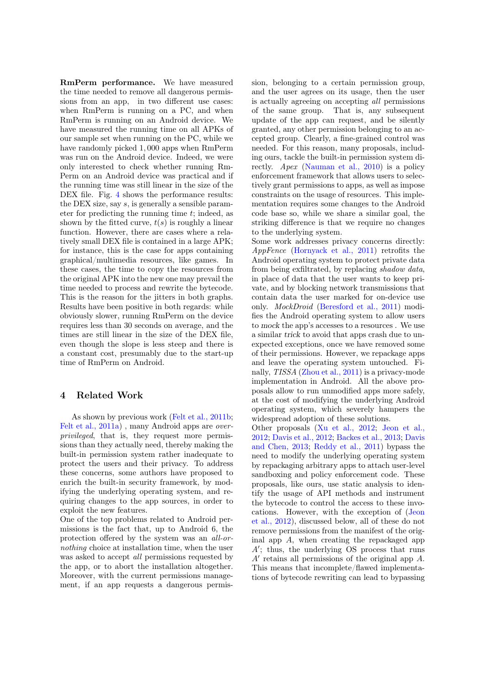RmPerm performance. We have measured the time needed to remove all dangerous permissions from an app, in two different use cases: when RmPerm is running on a PC, and when RmPerm is running on an Android device. We have measured the running time on all APKs of our sample set when running on the PC, while we have randomly picked 1, 000 apps when RmPerm was run on the Android device. Indeed, we were only interested to check whether running Rm-Perm on an Android device was practical and if the running time was still linear in the size of the DEX file. Fig. [4](#page-4-1) shows the performance results: the DEX size, say s, is generally a sensible parameter for predicting the running time  $t$ ; indeed, as shown by the fitted curve,  $t(s)$  is roughly a linear function. However, there are cases where a relatively small DEX file is contained in a large APK; for instance, this is the case for apps containing graphical/multimedia resources, like games. In these cases, the time to copy the resources from the original APK into the new one may prevail the time needed to process and rewrite the bytecode. This is the reason for the jitters in both graphs. Results have been positive in both regards: while obviously slower, running RmPerm on the device requires less than 30 seconds on average, and the times are still linear in the size of the DEX file, even though the slope is less steep and there is a constant cost, presumably due to the start-up time of RmPerm on Android.

## <span id="page-5-0"></span>4 Related Work

As shown by previous work [\(Felt et al., 2011b;](#page-7-9) [Felt et al., 2011a\)](#page-7-0) , many Android apps are overprivileged, that is, they request more permissions than they actually need, thereby making the built-in permission system rather inadequate to protect the users and their privacy. To address these concerns, some authors have proposed to enrich the built-in security framework, by modifying the underlying operating system, and requiring changes to the app sources, in order to exploit the new features.

One of the top problems related to Android permissions is the fact that, up to Android 6, the protection offered by the system was an all-ornothing choice at installation time, when the user was asked to accept *all* permissions requested by the app, or to abort the installation altogether. Moreover, with the current permissions management, if an app requests a dangerous permission, belonging to a certain permission group, and the user agrees on its usage, then the user is actually agreeing on accepting all permissions of the same group. That is, any subsequent update of the app can request, and be silently granted, any other permission belonging to an accepted group. Clearly, a fine-grained control was needed. For this reason, many proposals, including ours, tackle the built-in permission system directly. Apex [\(Nauman et al., 2010\)](#page-7-10) is a policy enforcement framework that allows users to selectively grant permissions to apps, as well as impose constraints on the usage of resources. This implementation requires some changes to the Android code base so, while we share a similar goal, the striking difference is that we require no changes to the underlying system.

Some work addresses privacy concerns directly: AppFence [\(Hornyack et al., 2011\)](#page-7-11) retrofits the Android operating system to protect private data from being exfiltrated, by replacing shadow data, in place of data that the user wants to keep private, and by blocking network transmissions that contain data the user marked for on-device use only. MockDroid [\(Beresford et al., 2011\)](#page-7-12) modifies the Android operating system to allow users to mock the app's accesses to a resources . We use a similar trick to avoid that apps crash due to unexpected exceptions, once we have removed some of their permissions. However, we repackage apps and leave the operating system untouched. Finally, TISSA [\(Zhou et al., 2011\)](#page-7-13) is a privacy-mode implementation in Android. All the above proposals allow to run unmodified apps more safely, at the cost of modifying the underlying Android operating system, which severely hampers the widespread adoption of these solutions.

Other proposals [\(Xu et al., 2012;](#page-7-14) [Jeon et al.,](#page-7-15) [2012;](#page-7-15) [Davis et al., 2012;](#page-7-16) [Backes et al., 2013;](#page-7-17) [Davis](#page-7-18) [and Chen, 2013;](#page-7-18) [Reddy et al., 2011\)](#page-7-19) bypass the need to modify the underlying operating system by repackaging arbitrary apps to attach user-level sandboxing and policy enforcement code. These proposals, like ours, use static analysis to identify the usage of API methods and instrument the bytecode to control the access to these invocations. However, with the exception of [\(Jeon](#page-7-15) [et al., 2012\)](#page-7-15), discussed below, all of these do not remove permissions from the manifest of the original app A, when creating the repackaged app  $A'$ ; thus, the underlying OS process that runs  $A'$  retains all permissions of the original app  $A$ . This means that incomplete/flawed implementations of bytecode rewriting can lead to bypassing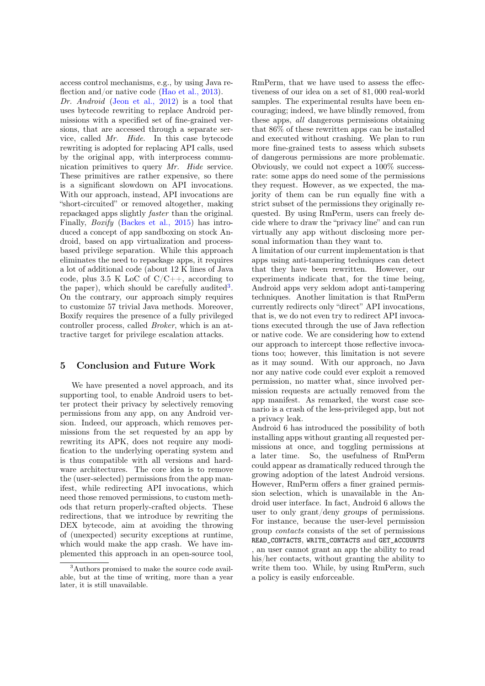access control mechanisms, e.g., by using Java re-flection and/or native code [\(Hao et al., 2013\)](#page-7-20).

Dr. Android [\(Jeon et al., 2012\)](#page-7-15) is a tool that uses bytecode rewriting to replace Android permissions with a specified set of fine-grained versions, that are accessed through a separate service, called Mr. Hide. In this case bytecode rewriting is adopted for replacing API calls, used by the original app, with interprocess communication primitives to query Mr. Hide service. These primitives are rather expensive, so there is a significant slowdown on API invocations. With our approach, instead, API invocations are "short-circuited" or removed altogether, making repackaged apps slightly faster than the original. Finally, Boxify [\(Backes et al., 2015\)](#page-7-21) has introduced a concept of app sandboxing on stock Android, based on app virtualization and processbased privilege separation. While this approach eliminates the need to repackage apps, it requires a lot of additional code (about 12 K lines of Java code, plus 3.5 K LoC of  $C/C++$ , according to the paper), which should be carefully audited<sup>[3](#page-6-1)</sup>. On the contrary, our approach simply requires to customize 57 trivial Java methods. Moreover, Boxify requires the presence of a fully privileged controller process, called Broker, which is an attractive target for privilege escalation attacks.

### <span id="page-6-0"></span>5 Conclusion and Future Work

We have presented a novel approach, and its supporting tool, to enable Android users to better protect their privacy by selectively removing permissions from any app, on any Android version. Indeed, our approach, which removes permissions from the set requested by an app by rewriting its APK, does not require any modification to the underlying operating system and is thus compatible with all versions and hardware architectures. The core idea is to remove the (user-selected) permissions from the app manifest, while redirecting API invocations, which need those removed permissions, to custom methods that return properly-crafted objects. These redirections, that we introduce by rewriting the DEX bytecode, aim at avoiding the throwing of (unexpected) security exceptions at runtime, which would make the app crash. We have implemented this approach in an open-source tool,

RmPerm, that we have used to assess the effectiveness of our idea on a set of 81, 000 real-world samples. The experimental results have been encouraging; indeed, we have blindly removed, from these apps, all dangerous permissions obtaining that 86% of these rewritten apps can be installed and executed without crashing. We plan to run more fine-grained tests to assess which subsets of dangerous permissions are more problematic. Obviously, we could not expect a 100% successrate: some apps do need some of the permissions they request. However, as we expected, the majority of them can be run equally fine with a strict subset of the permissions they originally requested. By using RmPerm, users can freely decide where to draw the "privacy line" and can run virtually any app without disclosing more personal information than they want to.

A limitation of our current implementation is that apps using anti-tampering techniques can detect that they have been rewritten. However, our experiments indicate that, for the time being, Android apps very seldom adopt anti-tampering techniques. Another limitation is that RmPerm currently redirects only "direct" API invocations, that is, we do not even try to redirect API invocations executed through the use of Java reflection or native code. We are considering how to extend our approach to intercept those reflective invocations too; however, this limitation is not severe as it may sound. With our approach, no Java nor any native code could ever exploit a removed permission, no matter what, since involved permission requests are actually removed from the app manifest. As remarked, the worst case scenario is a crash of the less-privileged app, but not a privacy leak.

Android 6 has introduced the possibility of both installing apps without granting all requested permissions at once, and toggling permissions at a later time. So, the usefulness of RmPerm could appear as dramatically reduced through the growing adoption of the latest Android versions. However, RmPerm offers a finer grained permission selection, which is unavailable in the Android user interface. In fact, Android 6 allows the user to only grant/deny groups of permissions. For instance, because the user-level permission group contacts consists of the set of permissions READ\_CONTACTS, WRITE\_CONTACTS and GET\_ACCOUNTS , an user cannot grant an app the ability to read his/her contacts, without granting the ability to write them too. While, by using RmPerm, such a policy is easily enforceable.

<span id="page-6-1"></span><sup>&</sup>lt;sup>3</sup>Authors promised to make the source code available, but at the time of writing, more than a year later, it is still unavailable.